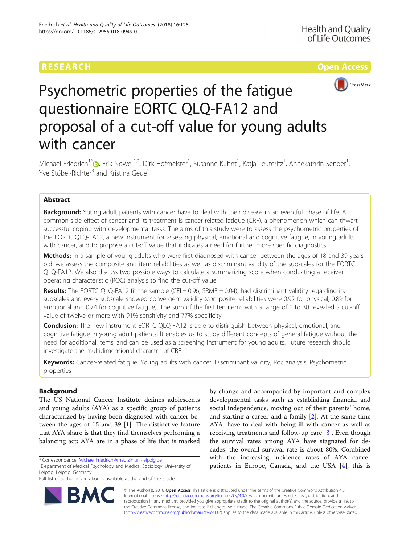# **RESEARCH CHINESE ARCH CHINESE ARCH CHINESE ARCH**



# Psychometric properties of the fatigue questionnaire EORTC QLQ-FA12 and proposal of a cut-off value for young adults with cancer

Michael Friedrich<sup>1\*</sup>®[,](http://orcid.org/0000-0002-0528-1564) Erik Nowe <sup>1,2</sup>, Dirk Hofmeister<sup>1</sup>, Susanne Kuhnt<sup>1</sup>, Katja Leuteritz<sup>1</sup>, Annekathrin Sender<sup>1</sup> , Yve Stöbel-Richter<sup>3</sup> and Kristina Geue<sup>1</sup>

# Abstract

**Background:** Young adult patients with cancer have to deal with their disease in an eventful phase of life. A common side effect of cancer and its treatment is cancer-related fatigue (CRF), a phenomenon which can thwart successful coping with developmental tasks. The aims of this study were to assess the psychometric properties of the EORTC QLQ-FA12, a new instrument for assessing physical, emotional and cognitive fatigue, in young adults with cancer, and to propose a cut-off value that indicates a need for further more specific diagnostics.

Methods: In a sample of young adults who were first diagnosed with cancer between the ages of 18 and 39 years old, we assess the composite and item reliabilities as well as discriminant validity of the subscales for the EORTC QLQ-FA12. We also discuss two possible ways to calculate a summarizing score when conducting a receiver operating characteristic (ROC) analysis to find the cut-off value.

Results: The EORTC QLQ-FA12 fit the sample (CFI = 0.96, SRMR = 0.04), had discriminant validity regarding its subscales and every subscale showed convergent validity (composite reliabilities were 0.92 for physical, 0.89 for emotional and 0.74 for cognitive fatigue). The sum of the first ten items with a range of 0 to 30 revealed a cut-off value of twelve or more with 91% sensitivity and 77% specificity.

**Conclusion:** The new instrument EORTC QLQ-FA12 is able to distinguish between physical, emotional, and cognitive fatigue in young adult patients. It enables us to study different concepts of general fatigue without the need for additional items, and can be used as a screening instrument for young adults. Future research should investigate the multidimensional character of CRF.

Keywords: Cancer-related fatigue, Young adults with cancer, Discriminant validity, Roc analysis, Psychometric properties

# Background

The US National Cancer Institute defines adolescents and young adults (AYA) as a specific group of patients characterized by having been diagnosed with cancer between the ages of 15 and 39 [[1\]](#page-9-0). The distinctive feature that AYA share is that they find themselves performing a balancing act: AYA are in a phase of life that is marked

Department of Medical Psychology and Medical Sociology, University of Leipzig, Leipzig, Germany

Full list of author information is available at the end of the article



by change and accompanied by important and complex developmental tasks such as establishing financial and social independence, moving out of their parents' home, and starting a career and a family [\[2](#page-9-0)]. At the same time AYA, have to deal with being ill with cancer as well as receiving treatments and follow-up care [[3\]](#page-9-0). Even though the survival rates among AYA have stagnated for decades, the overall survival rate is about 80%. Combined with the increasing incidence rates of AYA cancer patients in Europe, Canada, and the USA [[4](#page-9-0)], this is

© The Author(s). 2018 Open Access This article is distributed under the terms of the Creative Commons Attribution 4.0 International License [\(http://creativecommons.org/licenses/by/4.0/](http://creativecommons.org/licenses/by/4.0/)), which permits unrestricted use, distribution, and reproduction in any medium, provided you give appropriate credit to the original author(s) and the source, provide a link to the Creative Commons license, and indicate if changes were made. The Creative Commons Public Domain Dedication waiver [\(http://creativecommons.org/publicdomain/zero/1.0/](http://creativecommons.org/publicdomain/zero/1.0/)) applies to the data made available in this article, unless otherwise stated.

<sup>\*</sup> Correspondence: [Michael.Friedrich@medizin.uni-leipzig.de](mailto:Michael.Friedrich@medizin.uni-leipzig.de) <sup>1</sup>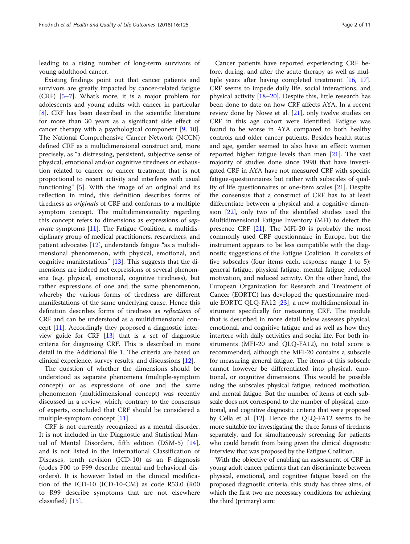leading to a rising number of long-term survivors of young adulthood cancer.

Existing findings point out that cancer patients and survivors are greatly impacted by cancer-related fatigue (CRF) [\[5](#page-9-0)–[7](#page-9-0)]. What's more, it is a major problem for adolescents and young adults with cancer in particular [[8\]](#page-9-0). CRF has been described in the scientific literature for more than 30 years as a significant side effect of cancer therapy with a psychological component [\[9](#page-9-0), [10](#page-9-0)]. The National Comprehensive Cancer Network (NCCN) defined CRF as a multidimensional construct and, more precisely, as "a distressing, persistent, subjective sense of physical, emotional and/or cognitive tiredness or exhaustion related to cancer or cancer treatment that is not proportional to recent activity and interferes with usual functioning" [[5\]](#page-9-0). With the image of an original and its reflection in mind, this definition describes forms of tiredness as originals of CRF and conforms to a multiple symptom concept. The multidimensionality regarding this concept refers to dimensions as expressions of separate symptoms [\[11](#page-9-0)]. The Fatigue Coalition, a multidisciplinary group of medical practitioners, researchers, and patient advocates [[12](#page-9-0)], understands fatigue "as a multidimensional phenomenon, with physical, emotional, and cognitive manifestations" [\[13](#page-9-0)]. This suggests that the dimensions are indeed not expressions of several phenomena (e.g. physical, emotional, cognitive tiredness), but rather expressions of one and the same phenomenon, whereby the various forms of tiredness are different manifestations of the same underlying cause. Hence this definition describes forms of tiredness as reflections of CRF and can be understood as a multidimensional concept [[11\]](#page-9-0). Accordingly they proposed a diagnostic interview guide for CRF [[13\]](#page-9-0) that is a set of diagnostic criteria for diagnosing CRF. This is described in more detail in the Additional file [1.](#page-9-0) The criteria are based on clinical experience, survey results, and discussions [\[12](#page-9-0)].

The question of whether the dimensions should be understood as separate phenomena (multiple-symptom concept) or as expressions of one and the same phenomenon (multidimensional concept) was recently discussed in a review, which, contrary to the consensus of experts, concluded that CRF should be considered a multiple-symptom concept [\[11](#page-9-0)].

CRF is not currently recognized as a mental disorder. It is not included in the Diagnostic and Statistical Manual of Mental Disorders, fifth edition (DSM-5) [\[14](#page-9-0)], and is not listed in the International Classification of Diseases, tenth revision (ICD-10) as an F-diagnosis (codes F00 to F99 describe mental and behavioral disorders). It is however listed in the clinical modification of the ICD-10 (ICD-10-CM) as code R53.0 (R00 to R99 describe symptoms that are not elsewhere classified) [[15\]](#page-9-0).

Cancer patients have reported experiencing CRF before, during, and after the acute therapy as well as multiple years after having completed treatment [\[16](#page-9-0), [17](#page-9-0)]. CRF seems to impede daily life, social interactions, and physical activity [[18](#page-9-0)–[20](#page-9-0)]. Despite this, little research has been done to date on how CRF affects AYA. In a recent review done by Nowe et al. [[21](#page-9-0)], only twelve studies on CRF in this age cohort were identified. Fatigue was found to be worse in AYA compared to both healthy controls and older cancer patients. Besides health status and age, gender seemed to also have an effect: women reported higher fatigue levels than men [\[21\]](#page-9-0). The vast majority of studies done since 1990 that have investigated CRF in AYA have not measured CRF with specific fatigue-questionnaires but rather with subscales of quality of life questionnaires or one-item scales [\[21](#page-9-0)]. Despite the consensus that a construct of CRF has to at least differentiate between a physical and a cognitive dimension [[22\]](#page-10-0), only two of the identified studies used the Multidimensional Fatigue Inventory (MFI) to detect the presence CRF [\[21](#page-9-0)]. The MFI-20 is probably the most commonly used CRF questionnaire in Europe, but the instrument appears to be less compatible with the diagnostic suggestions of the Fatigue Coalition. It consists of five subscales (four items each, response range 1 to 5): general fatigue, physical fatigue, mental fatigue, reduced motivation, and reduced activity. On the other hand, the European Organization for Research and Treatment of Cancer (EORTC) has developed the questionnaire mod-ule EORTC QLQ-FA12 [\[23](#page-10-0)], a new multidimensional instrument specifically for measuring CRF. The module that is described in more detail below assesses physical, emotional, and cognitive fatigue and as well as how they interfere with daily activities and social life. For both instruments (MFI-20 and QLQ-FA12), no total score is recommended, although the MFI-20 contains a subscale for measuring general fatigue. The items of this subscale cannot however be differentiated into physical, emotional, or cognitive dimensions. This would be possible using the subscales physical fatigue, reduced motivation, and mental fatigue. But the number of items of each subscale does not correspond to the number of physical, emotional, and cognitive diagnostic criteria that were proposed by Cella et al. [[12](#page-9-0)]. Hence the QLQ-FA12 seems to be more suitable for investigating the three forms of tiredness separately, and for simultaneously screening for patients who could benefit from being given the clinical diagnostic interview that was proposed by the Fatigue Coalition.

With the objective of enabling an assessment of CRF in young adult cancer patients that can discriminate between physical, emotional, and cognitive fatigue based on the proposed diagnostic criteria, this study has three aims, of which the first two are necessary conditions for achieving the third (primary) aim: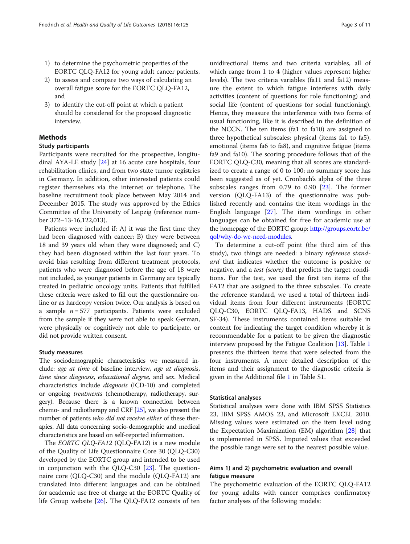- 1) to determine the psychometric properties of the EORTC QLQ-FA12 for young adult cancer patients,
- 2) to assess and compare two ways of calculating an overall fatigue score for the EORTC QLQ-FA12, and
- 3) to identify the cut-off point at which a patient should be considered for the proposed diagnostic interview.

# Methods

# Study participants

Participants were recruited for the prospective, longitudinal AYA-LE study [[24\]](#page-10-0) at 16 acute care hospitals, four rehabilitation clinics, and from two state tumor registries in Germany. In addition, other interested patients could register themselves via the internet or telephone. The baseline recruitment took place between May 2014 and December 2015. The study was approved by the Ethics Committee of the University of Leipzig (reference number 372–13-16,122,013).

Patients were included if: A) it was the first time they had been diagnosed with cancer; B) they were between 18 and 39 years old when they were diagnosed; and C) they had been diagnosed within the last four years. To avoid bias resulting from different treatment protocols, patients who were diagnosed before the age of 18 were not included, as younger patients in Germany are typically treated in pediatric oncology units. Patients that fulfilled these criteria were asked to fill out the questionnaire online or as hardcopy version twice. Our analysis is based on a sample  $n = 577$  participants. Patients were excluded from the sample if they were not able to speak German, were physically or cognitively not able to participate, or did not provide written consent.

# Study measures

The sociodemographic characteristics we measured include: age at time of baseline interview, age at diagnosis, time since diagnosis, educational degree, and sex. Medical characteristics include diagnosis (ICD-10) and completed or ongoing treatments (chemotherapy, radiotherapy, surgery). Because there is a known connection between chemo- and radiotherapy and CRF [\[25\]](#page-10-0), we also present the number of patients who did not receive either of these therapies. All data concerning socio-demographic and medical characteristics are based on self-reported information.

The *EORTC QLQ-FA12* (QLQ-FA12) is a new module of the Quality of Life Questionnaire Core 30 (QLQ-C30) developed by the EORTC group and intended to be used in conjunction with the QLQ-C30 [\[23](#page-10-0)]. The questionnaire core (QLQ-C30) and the module (QLQ-FA12) are translated into different languages and can be obtained for academic use free of charge at the EORTC Quality of life Group website [[26\]](#page-10-0). The QLQ-FA12 consists of ten

unidirectional items and two criteria variables, all of which range from 1 to 4 (higher values represent higher levels). The two criteria variables (fa11 and fa12) measure the extent to which fatigue interferes with daily activities (content of questions for role functioning) and social life (content of questions for social functioning). Hence, they measure the interference with two forms of usual functioning, like it is described in the definition of the NCCN. The ten items (fa1 to fa10) are assigned to three hypothetical subscales: physical (items fa1 to fa5), emotional (items fa6 to fa8), and cognitive fatigue (items fa9 and fa10). The scoring procedure follows that of the EORTC QLQ-C30, meaning that all scores are standardized to create a range of 0 to 100; no summary score has been suggested as of yet. Cronbach's alpha of the three subscales ranges from 0.79 to 0.90 [[23\]](#page-10-0). The former version (QLQ-FA13) of the questionnaire was published recently and contains the item wordings in the English language [[27\]](#page-10-0). The item wordings in other languages can be obtained for free for academic use at the homepage of the EORTC group: [http://groups.eortc.be/](http://groups.eortc.be/qol/why-do-we-need-modules) [qol/why-do-we-need-modules.](http://groups.eortc.be/qol/why-do-we-need-modules)

To determine a cut-off point (the third aim of this study), two things are needed: a binary reference standard that indicates whether the outcome is positive or negative, and a *test (score)* that predicts the target conditions. For the test, we used the first ten items of the FA12 that are assigned to the three subscales. To create the reference standard, we used a total of thirteen individual items from four different instruments (EORTC QLQ-C30, EORTC QLQ-FA13, HADS and SCNS SF-34). These instruments contained items suitable in content for indicating the target condition whereby it is recommendable for a patient to be given the diagnostic interview proposed by the Fatigue Coalition [[13](#page-9-0)]. Table [1](#page-3-0) presents the thirteen items that were selected from the four instruments. A more detailed description of the items and their assignment to the diagnostic criteria is given in the Additional file [1](#page-9-0) in Table S1.

#### Statistical analyses

Statistical analyses were done with IBM SPSS Statistics 23, IBM SPSS AMOS 23, and Microsoft EXCEL 2010. Missing values were estimated on the item level using the Expectation Maximization (EM) algorithm [[28\]](#page-10-0) that is implemented in SPSS. Imputed values that exceeded the possible range were set to the nearest possible value.

# Aims 1) and 2) psychometric evaluation and overall fatigue measure

The psychometric evaluation of the EORTC QLQ-FA12 for young adults with cancer comprises confirmatory factor analyses of the following models: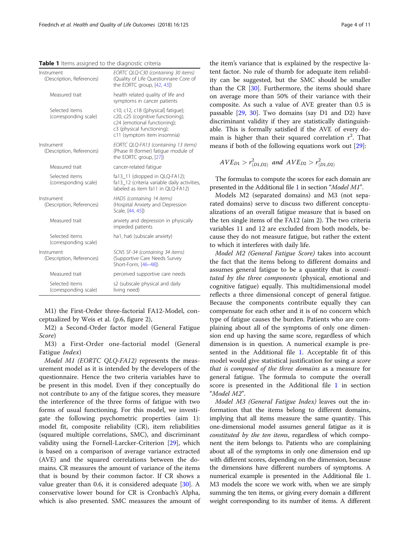<span id="page-3-0"></span>Table 1 Items assigned to the diagnostic criteria

| Instrument<br>(Description, References) | EORTC QLQ-C30 (containing 30 items)<br>(Quality of Life Questionnaire Core of<br>the EORTC group, [42, 43])                                                           |
|-----------------------------------------|-----------------------------------------------------------------------------------------------------------------------------------------------------------------------|
| Measured trait                          | health related quality of life and<br>symptoms in cancer patients                                                                                                     |
| Selected items<br>(corresponding scale) | c10, c12, c18 ([physical] fatique);<br>c20, c25 (cognitive functioning);<br>c24 (emotional functioning);<br>c3 (physical functioning);<br>c11 (symptom item insomnia) |
| Instrument<br>(Description, References) | EORTC QLQ-FA13 (containing 13 items)<br>(Phase III (former) fatique module of<br>the EORTC group, [27])                                                               |
| Measured trait                          | cancer-related fatigue                                                                                                                                                |
| Selected items<br>(corresponding scale) | fa13_11 (dropped in QLQ-FA12);<br>fa13_12 (criteria variable daily activities,<br>labeled as item fa11 in OLO-FA12)                                                   |
| Instrument<br>(Description, References) | HADS (containing 14 items)<br>(Hospital Anxiety and Depression<br>Scale, [44, 45])                                                                                    |
| Measured trait                          | anxiety and depression in physically<br>impeded patients                                                                                                              |
| Selected items<br>(corresponding scale) | ha1, ha6 (subscale anxiety)                                                                                                                                           |
| Instrument<br>(Description, References) | SCNS SF-34 (containing 34 items)<br>(Supportive Care Needs Survey<br>Short-Form, [46-48])                                                                             |
| Measured trait                          | perceived supportive care needs                                                                                                                                       |
| Selected items<br>(corresponding scale) | s2 (subscale physical and daily<br>living need)                                                                                                                       |

M1) the First-Order three-factorial FA12-Model, conceptualized by Weis et al. (p.6, figure 2),

M2) a Second-Order factor model (General Fatigue Score)

M3) a First-Order one-factorial model (General Fatigue Index)

Model M1 (EORTC QLQ-FA12) represents the measurement model as it is intended by the developers of the questionnaire. Hence the two criteria variables have to be present in this model. Even if they conceptually do not contribute to any of the fatigue scores, they measure the interference of the three forms of fatigue with two forms of usual functioning. For this model, we investigate the following psychometric properties (aim 1): model fit, composite reliability (CR), item reliabilities (squared multiple correlations, SMC), and discriminant validity using the Fornell-Larcker-Criterion [\[29](#page-10-0)], which is based on a comparison of average variance extracted (AVE) and the squared correlations between the domains. CR measures the amount of variance of the items that is bound by their common factor. If CR shows a value greater than 0.6, it is considered adequate  $[30]$  $[30]$ . A conservative lower bound for CR is Cronbach's Alpha, which is also presented. SMC measures the amount of

the item's variance that is explained by the respective latent factor. No rule of thumb for adequate item reliability can be suggested, but the SMC should be smaller than the CR [\[30](#page-10-0)]. Furthermore, the items should share on average more than 50% of their variance with their composite. As such a value of AVE greater than 0.5 is passable [\[29,](#page-10-0) [30](#page-10-0)]. Two domains (say D1 and D2) have discriminant validity if they are statistically distinguishable. This is formally satisfied if the AVE of every domain is higher than their squared correlation  $r^2$ . That means if both of the following equations work out [\[29\]](#page-10-0):

$$
AVE_{D1} > r^2_{(D1,D2)} \text{ and } AVE_{D2} > r^2_{(D1,D2)}
$$

The formulas to compute the scores for each domain are presented in the Additional file [1](#page-9-0) in section "Model M1".

Models M2 (separated domains) and M3 (not separated domains) serve to discuss two different conceptualizations of an overall fatigue measure that is based on the ten single items of the FA12 (aim 2). The two criteria variables 11 and 12 are excluded from both models, because they do not measure fatigue, but rather the extent to which it interferes with daily life.

Model M2 (General Fatigue Score) takes into account the fact that the items belong to different domains and assumes general fatigue to be a quantity that is constituted by the three components (physical, emotional and cognitive fatigue) equally. This multidimensional model reflects a three dimensional concept of general fatigue. Because the components contribute equally they can compensate for each other and it is of no concern which type of fatigue causes the burden. Patients who are complaining about all of the symptoms of only one dimension end up having the same score, regardless of which dimension is in question. A numerical example is presented in the Additional file [1.](#page-9-0) Acceptable fit of this model would give statistical justification for using *a score* that is composed of the three domains as a measure for general fatigue. The formula to compute the overall score is presented in the Additional file [1](#page-9-0) in section "Model M2".

Model M3 (General Fatigue Index) leaves out the information that the items belong to different domains, implying that all items measure the same quantity. This one-dimensional model assumes general fatigue as it is constituted by the ten items, regardless of which component the item belongs to. Patients who are complaining about all of the symptoms in only one dimension end up with different scores, depending on the dimension, because the dimensions have different numbers of symptoms. A numerical example is presented in the Additional file [1](#page-9-0). M3 models the score we work with, when we are simply summing the ten items, or giving every domain a different weight corresponding to its number of items. A different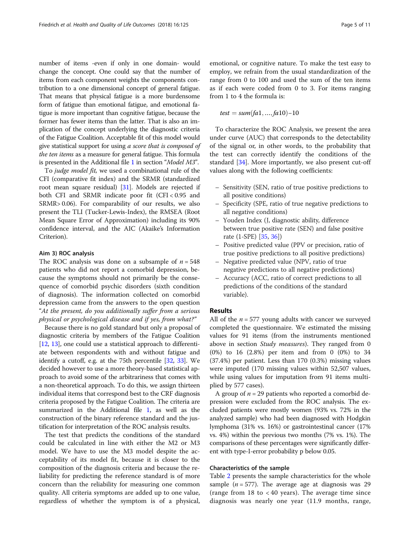number of items -even if only in one domain- would change the concept. One could say that the number of items from each component weights the components contribution to a one dimensional concept of general fatigue. That means that physical fatigue is a more burdensome form of fatigue than emotional fatigue, and emotional fatigue is more important than cognitive fatigue, because the former has fewer items than the latter. That is also an implication of the concept underlying the diagnostic criteria of the Fatigue Coalition. Acceptable fit of this model would give statistical support for using a score that is composed of the ten items as a measure for general fatigue. This formula is presented in the Additional file [1](#page-9-0) in section "Model M3".

To judge model fit, we used a combinational rule of the CFI (comparative fit index) and the SRMR (standardized root mean square residual) [\[31\]](#page-10-0). Models are rejected if both CFI and SRMR indicate poor fit (CFI < 0.95 and SRMR> 0.06). For comparability of our results, we also present the TLI (Tucker-Lewis-Index), the RMSEA (Root Mean Square Error of Approximation) including its 90% confidence interval, and the AIC (Akaike's Information Criterion).

#### Aim 3) ROC analysis

The ROC analysis was done on a subsample of  $n = 548$ patients who did not report a comorbid depression, because the symptoms should not primarily be the consequence of comorbid psychic disorders (sixth condition of diagnosis). The information collected on comorbid depression came from the answers to the open question "At the present, do you additionally suffer from a serious physical or psychological disease and if yes, from what?"

Because there is no gold standard but only a proposal of diagnostic criteria by members of the Fatigue Coalition [[12](#page-9-0), [13](#page-9-0)], one could use a statistical approach to differentiate between respondents with and without fatigue and identify a cutoff, e.g. at the 75th percentile [[32](#page-10-0), [33](#page-10-0)]. We decided however to use a more theory-based statistical approach to avoid some of the arbitrariness that comes with a non-theoretical approach. To do this, we assign thirteen individual items that correspond best to the CRF diagnosis criteria proposed by the Fatigue Coalition. The criteria are summarized in the Additional file [1,](#page-9-0) as well as the construction of the binary reference standard and the justification for interpretation of the ROC analysis results.

The test that predicts the conditions of the standard could be calculated in line with either the M2 or M3 model. We have to use the M3 model despite the acceptability of its model fit, because it is closer to the composition of the diagnosis criteria and because the reliability for predicting the reference standard is of more concern than the reliability for measuring one common quality. All criteria symptoms are added up to one value, regardless of whether the symptom is of a physical, emotional, or cognitive nature. To make the test easy to employ, we refrain from the usual standardization of the range from 0 to 100 and used the sum of the ten items as if each were coded from 0 to 3. For items ranging from 1 to 4 the formula is:

$$
test = sum(fa1, ..., fa10) - 10
$$

To characterize the ROC Analysis, we present the area under curve (AUC) that corresponds to the detectability of the signal or, in other words, to the probability that the test can correctly identify the conditions of the standard [[34](#page-10-0)]. More importantly, we also present cut-off values along with the following coefficients:

- Sensitivity (SEN, ratio of true positive predictions to all positive conditions)
- Specificity (SPE, ratio of true negative predictions to all negative conditions)
- Youden Index (J, diagnostic ability, difference between true positive rate (SEN) and false positive rate (1-SPE) [\[35,](#page-10-0) [36](#page-10-0)])
- Positive predicted value (PPV or precision, ratio of true positive predictions to all positive predictions)
- Negative predicted value (NPV, ratio of true negative predictions to all negative predictions)
- Accuracy (ACC, ratio of correct predictions to all predictions of the conditions of the standard variable).

# Results

All of the  $n = 577$  young adults with cancer we surveyed completed the questionnaire. We estimated the missing values for 91 items (from the instruments mentioned above in section Study measures). They ranged from 0 (0%) to 16 (2.8%) per item and from 0 (0%) to 34 (37.4%) per patient. Less than 170 (0.3%) missing values were imputed (170 missing values within 52,507 values, while using values for imputation from 91 items multiplied by 577 cases).

A group of  $n = 29$  patients who reported a comorbid depression were excluded from the ROC analysis. The excluded patients were mostly women (93% vs. 72% in the analyzed sample) who had been diagnosed with Hodgkin lymphoma (31% vs. 16%) or gastrointestinal cancer (17% vs. 4%) within the previous two months (7% vs. 1%). The comparisons of these percentages were significantly different with type-I-error probability p below 0.05.

# Characteristics of the sample

Table [2](#page-5-0) presents the sample characteristics for the whole sample ( $n = 577$ ). The average age at diagnosis was 29 (range from 18 to < 40 years). The average time since diagnosis was nearly one year (11.9 months, range,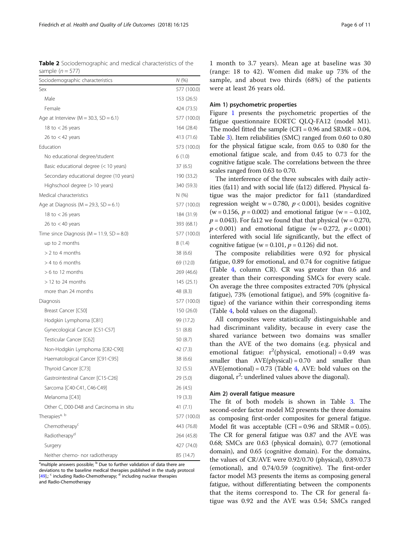<span id="page-5-0"></span>Table 2 Sociodemographic and medical characteristics of the sample  $(n = 577)$ 

| Sociodemographic characteristics              | N (%)       |
|-----------------------------------------------|-------------|
| Sex                                           | 577 (100.0) |
| Male                                          | 153 (26.5)  |
| Female                                        | 424 (73.5)  |
| Age at Interview ( $M = 30.3$ , SD = 6.1)     | 577 (100.0) |
| 18 to $<$ 26 years                            | 164 (28.4)  |
| 26 to $<$ 42 years                            | 413 (71.6)  |
| Education                                     | 573 (100.0) |
| No educational degree/student                 | 6(1.0)      |
| Basic educational degree (< 10 years)         | 37(6.5)     |
| Secondary educational degree (10 years)       | 190 (33.2)  |
| Highschool degree (> 10 years)                | 340 (59.3)  |
| Medical characteristics                       | N(% )       |
| Age at Diagnosis ( $M = 29.3$ , SD = 6.1)     | 577 (100.0) |
| 18 to $<$ 26 years                            | 184 (31.9)  |
| 26 to $<$ 40 years                            | 393 (68.1)  |
| Time since Diagnosis ( $M = 11.9$ , SD = 8.0) | 577 (100.0) |
| up to 2 months                                | 8(1.4)      |
| $> 2$ to 4 months                             | 38 (6.6)    |
| $> 4$ to 6 months                             | 69 (12.0)   |
| $>6$ to 12 months                             | 269 (46.6)  |
| $>$ 12 to 24 months                           | 145(25.1)   |
| more than 24 months                           | 48 (8.3)    |
| Diagnosis                                     | 577 (100.0) |
| Breast Cancer [C50]                           | 150 (26.0)  |
| Hodgkin Lymphoma [C81]                        | 99 (17.2)   |
| Gynecological Cancer [C51-C57]                | 51 (8.8)    |
| Testicular Cancer [C62]                       | 50 (8.7)    |
| Non-Hodgkin Lymphoma [C82-C90]                | 42 (7.3)    |
| Haematological Cancer [C91-C95]               | 38 (6.6)    |
| Thyroid Cancer [C73]                          | 32 (5.5)    |
| Gastrointestinal Cancer [C15-C26]             | 29 (5.0)    |
| Sarcoma [C40-C41, C46-C49]                    | 26 (4.5)    |
| Melanoma [C43]                                | 19 (3.3)    |
| Other C, D00-D48 and Carcinoma in situ        | 41 (7.1)    |
| Therapies <sup>a, b</sup>                     | 577 (100.0) |
| Chemotherapy <sup>c</sup>                     | 443 (76.8)  |
| Radiotherapy <sup>d</sup>                     | 264 (45.8)  |
| Surgery                                       | 427 (74.0)  |
| Neither chemo- nor radiotherapy               | 85 (14.7)   |

<sup>a</sup>multiple answers possible; <sup>b</sup> Due to further validation of data there are deviations to the baseline medical therapies published in the study protocol  $[49]$  $[49]$ ; <sup>c</sup> including Radio-Chemotherapy; <sup>d</sup> including nuclear therapies and Radio-Chemotherapy

1 month to 3.7 years). Mean age at baseline was 30 (range: 18 to 42). Women did make up 73% of the sample, and about two thirds (68%) of the patients were at least 26 years old.

# Aim 1) psychometric properties

Figure [1](#page-6-0) presents the psychometric properties of the fatigue questionnaire EORTC QLQ-FA12 (model M1). The model fitted the sample (CFI =  $0.96$  and SRMR =  $0.04$ , Table [3](#page-6-0)). Item reliabilities (SMC) ranged from 0.60 to 0.80 for the physical fatigue scale, from 0.65 to 0.80 for the emotional fatigue scale, and from 0.45 to 0.73 for the cognitive fatigue scale. The correlations between the three scales ranged from 0.63 to 0.70.

The interference of the three subscales with daily activities (fa11) and with social life (fa12) differed. Physical fatigue was the major predictor for fa11 (standardized regression weight  $w = 0.780$ ,  $p < 0.001$ ), besides cognitive (w = 0.156,  $p = 0.002$ ) and emotional fatigue (w = -0.102,  $p = 0.043$ ). For fa12 we found that that physical (w = 0.270,  $p < 0.001$ ) and emotional fatigue (w = 0.272,  $p < 0.001$ ) interfered with social life significantly, but the effect of cognitive fatigue (w =  $0.101$ ,  $p = 0.126$ ) did not.

The composite reliabilities were 0.92 for physical fatigue, 0.89 for emotional, and 0.74 for cognitive fatigue (Table [4,](#page-7-0) column CR). CR was greater than 0.6 and greater than their corresponding SMCs for every scale. On average the three composites extracted 70% (physical fatigue), 73% (emotional fatigue), and 59% (cognitive fatigue) of the variance within their corresponding items (Table [4,](#page-7-0) bold values on the diagonal).

All composites were statistically distinguishable and had discriminant validity, because in every case the shared variance between two domains was smaller than the AVE of the two domains (e.g. physical and emotional fatigue:  $r^2$ (physical, emotional) = 0.49 was smaller than  $AVE(physical) = 0.70$  and smaller than  $AVE(emotional) = 0.73$  (Table [4](#page-7-0), AVE: bold values on the diagonal,  $r^2$ : underlined values above the diagonal).

# Aim 2) overall fatigue measure

The fit of both models is shown in Table [3.](#page-6-0) The second-order factor model M2 presents the three domains as composing first-order composites for general fatigue. Model fit was acceptable  $(CFI = 0.96$  and  $SRMR = 0.05$ ). The CR for general fatigue was 0.87 and the AVE was 0.68; SMCs are 0.63 (physical domain), 0.77 (emotional domain), and 0.65 (cognitive domain). For the domains, the values of CR/AVE were 0.92/0.70 (physical), 0.89/0.73 (emotional), and 0.74/0.59 (cognitive). The first-order factor model M3 presents the items as composing general fatigue, without differentiating between the components that the items correspond to. The CR for general fatigue was 0.92 and the AVE was 0.54; SMCs ranged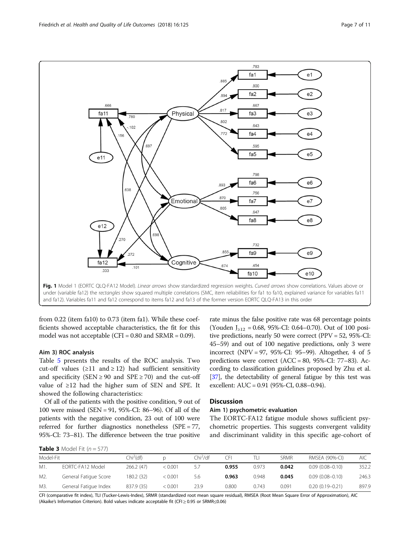<span id="page-6-0"></span>

from 0.22 (item fa10) to 0.73 (item fa1). While these coefficients showed acceptable characteristics, the fit for this model was not acceptable (CFI =  $0.80$  and SRMR =  $0.09$ ).

# Aim 3) ROC analysis

Table [5](#page-7-0) presents the results of the ROC analysis. Two cut-off values ( $\geq$ 11 and  $\geq$  12) had sufficient sensitivity and specificity (SEN  $\geq$  90 and SPE  $\geq$  70) and the cut-off value of ≥12 had the higher sum of SEN and SPE. It showed the following characteristics:

Of all of the patients with the positive condition, 9 out of 100 were missed (SEN = 91, 95%-CI: 86–96). Of all of the patients with the negative condition, 23 out of 100 were referred for further diagnostics nonetheless (SPE = 77, 95%-CI: 73–81). The difference between the true positive

rate minus the false positive rate was 68 percentage points (Youden  $J_{\geq 12} = 0.68$ , 95%-CI: 0.64–0.70). Out of 100 positive predictions, nearly 50 were correct (PPV = 52, 95%-CI: 45–59) and out of 100 negative predictions, only 3 were incorrect (NPV = 97, 95%-CI: 95–99). Altogether, 4 of 5 predictions were correct (ACC = 80,  $95\%$ -CI: 77–83). According to classification guidelines proposed by Zhu et al. [[37](#page-10-0)], the detectability of general fatigue by this test was excellent: AUC = 0.91 (95%-CI, 0.88–0.94).

# **Discussion**

## Aim 1) psychometric evaluation

The EORTC-FA12 fatigue module shows sufficient psychometric properties. This suggests convergent validity and discriminant validity in this specific age-cohort of

|  | <b>Table 3</b> Model Fit $(n = 577)$ |  |  |
|--|--------------------------------------|--|--|
|--|--------------------------------------|--|--|

| Model-Fit |                       | Chi <sup>2</sup> (df) |         | Chi <sup>2</sup> /df | CFı   |       | SRMR  | RMSEA (90%-CI)      | AIC.  |
|-----------|-----------------------|-----------------------|---------|----------------------|-------|-------|-------|---------------------|-------|
| M1.       | EORTC-FA12 Model      | 266.2 (47)            | < 0.001 | 5.7                  | 0.955 | 0.973 | 0.042 | $0.09(0.08 - 0.10)$ | 352.2 |
| M2.       | General Fatigue Score | 180.2 (32)            | : 0.001 | 5.6                  | 0.963 | 0.948 | 0.045 | $0.09(0.08 - 0.10)$ | 246.3 |
| M3.       | General Fatique Index | 837.9 (35)            | < 0.001 | 23.9                 | 0.800 | 0.743 | 0.091 | $0.20(0.19 - 0.21)$ | 897.9 |

CFI (comparative fit index), TLI (Tucker-Lewis-Index), SRMR (standardized root mean square residual), RMSEA (Root Mean Square Error of Approximation), AIC (Akaike's Information Criterion). Bold values indicate acceptable fit (CFI ≥ 0.95 or SRMR≤0.06)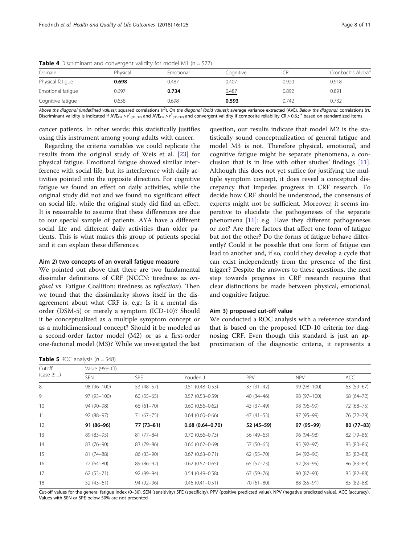| Domain            | Physical | Emotional | Cognitive | CR    | Cronbach's Alpha <sup>3</sup> |
|-------------------|----------|-----------|-----------|-------|-------------------------------|
| Physical fatique  | 0.698    | 0.487     | 0.407     | 0.920 | 0.918                         |
| Emotional fatique | 0.697    | 0.734     | 0.487     | 0.892 | 0.891                         |
| Cognitive fatigue | 0.638    | 0.698     | 0.593     | 0.742 | 0.732                         |

<span id="page-7-0"></span>**Table 4** Discriminant and convergent validity for model M1 ( $n = 577$ )

Above the diagonal (underlined values): squared correlations (r<sup>2</sup>). On the diagonal (bold values): average variance extracted (AVE). Below the diagonal: correlations (r). Discriminant validity is indicated if AVE<sub>D1</sub> > r<sup>2</sup><sub>(D1,D2)</sub> and AVE<sub>D2</sub> > r<sup>2</sup><sub>(D1,D2)</sub> and convergent validity if composite reliability CR > 0.6.; <sup>a</sup> based on standardized items

cancer patients. In other words: this statistically justifies using this instrument among young adults with cancer.

Regarding the criteria variables we could replicate the results from the original study of Weis et al. [\[23\]](#page-10-0) for physical fatigue. Emotional fatigue showed similar interference with social life, but its interference with daily activities pointed into the opposite direction. For cognitive fatigue we found an effect on daily activities, while the original study did not and we found no significant effect on social life, while the original study did find an effect. It is reasonable to assume that these differences are due to our special sample of patients. AYA have a different social life and different daily activities than older patients. This is what makes this group of patients special and it can explain these differences.

#### Aim 2) two concepts of an overall fatigue measure

We pointed out above that there are two fundamental dissimilar definitions of CRF (NCCN: tiredness as original vs. Fatigue Coalition: tiredness as reflection). Then we found that the dissimilarity shows itself in the disagreement about what CRF is, e.g.: Is it a mental disorder (DSM-5) or merely a symptom (ICD-10)? Should it be conceptualized as a multiple symptom concept or as a multidimensional concept? Should it be modeled as a second-order factor model (M2) or as a first-order one-factorial model (M3)? While we investigated the last

**Table 5** ROC analysis  $(n = 548)$ 

question, our results indicate that model M2 is the statistically sound conceptualization of general fatigue and model M3 is not. Therefore physical, emotional, and cognitive fatigue might be separate phenomena, a conclusion that is in line with other studies' findings [\[11](#page-9-0)]. Although this does not yet suffice for justifying the multiple symptom concept, it does reveal a conceptual discrepancy that impedes progress in CRF research. To decide how CRF should be understood, the consensus of experts might not be sufficient. Moreover, it seems imperative to elucidate the pathogeneses of the separate phenomena  $[11]$  $[11]$ : e.g. Have they different pathogeneses or not? Are there factors that affect one form of fatigue but not the other? Do the forms of fatigue behave differently? Could it be possible that one form of fatigue can lead to another and, if so, could they develop a cycle that can exist independently from the presence of the first trigger? Despite the answers to these questions, the next step towards progress in CRF research requires that clear distinctions be made between physical, emotional, and cognitive fatigue.

#### Aim 3) proposed cut-off value

We conducted a ROC analysis with a reference standard that is based on the proposed ICD-10 criteria for diagnosing CRF. Even though this standard is just an approximation of the diagnostic criteria, it represents a

| Cutoff<br>$(\text{case } \geq )$ | Value (95% CI) |               |                     |               |             |             |  |  |  |  |
|----------------------------------|----------------|---------------|---------------------|---------------|-------------|-------------|--|--|--|--|
|                                  | <b>SEN</b>     | <b>SPE</b>    | Youden J            | <b>PPV</b>    | <b>NPV</b>  | <b>ACC</b>  |  |  |  |  |
| 8                                | 98 (96-100)    | 53 (48-57)    | $0.51(0.48 - 0.53)$ | $37(31-42)$   | 99 (98-100) | $63(59-67)$ |  |  |  |  |
| 9                                | $97(93 - 100)$ | $60(55-65)$   | $0.57(0.53 - 0.59)$ | $40(34-46)$   | 98 (97-100) | 68 (64-72)  |  |  |  |  |
| 10                               | 94 (90-98)     | $66(61 - 70)$ | $0.60(0.56 - 0.62)$ | 43 (37-49)    | 98 (96-99)  | 72 (68-75)  |  |  |  |  |
| 11                               | $92(88-97)$    | $71(67 - 75)$ | $0.64(0.60 - 0.66)$ | $47(41-53)$   | 97 (95-99)  | 76 (72-79)  |  |  |  |  |
| 12                               | 91 (86-96)     | 77 (73-81)    | $0.68(0.64 - 0.70)$ | 52 (45-59)    | 97 (95-99)  | 80 (77-83)  |  |  |  |  |
| 13                               | 89 (83-95)     | $81(77 - 84)$ | $0.70(0.66 - 0.73)$ | 56 (49-63)    | 96 (94-98)  | 82 (79-86)  |  |  |  |  |
| 14                               | 83 (76-90)     | 83 (79-86)    | $0.66(0.62 - 0.69)$ | 57 (50-65)    | 95 (92-97)  | 83 (80-86)  |  |  |  |  |
| 15                               | 81 (74-88)     | 86 (83-90)    | $0.67(0.63 - 0.71)$ | $62(55 - 70)$ | 94 (92-96)  | 85 (82-88)  |  |  |  |  |
| 16                               | 72 (64-80)     | 89 (86-92)    | $0.62(0.57-0.65)$   | $65(57-73)$   | 92 (89-95)  | 86 (83-89)  |  |  |  |  |
| 17                               | $62(53 - 71)$  | 92 (89-94)    | $0.54(0.49 - 0.58)$ | 67 (59–76)    | $90(87-93)$ | 85 (82-88)  |  |  |  |  |
| 18                               | $52(43-61)$    | 94 (92-96)    | $0.46(0.41 - 0.51)$ | $70(61 - 80)$ | 88 (85-91)  | 85 (82-88)  |  |  |  |  |

Cut-off values for the general fatigue index (0–30). SEN (sensitivity) SPE (specificity), PPV (positive predicted value), NPV (negative predicted value), ACC (accuracy). Values with SEN or SPE below 50% are not presented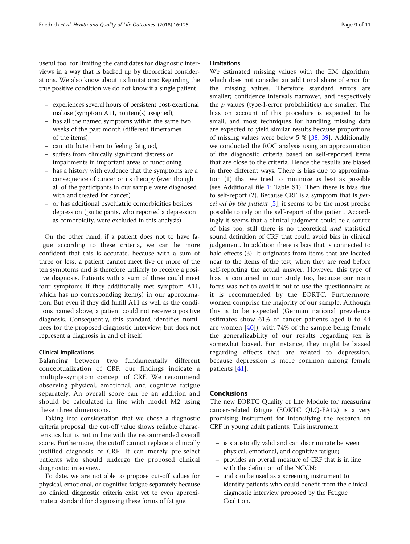useful tool for limiting the candidates for diagnostic interviews in a way that is backed up by theoretical considerations. We also know about its limitations: Regarding the true positive condition we do not know if a single patient:

- experiences several hours of persistent post-exertional malaise (symptom A11, no item(s) assigned),
- has all the named symptoms within the same two weeks of the past month (different timeframes of the items),
- can attribute them to feeling fatigued,
- suffers from clinically significant distress or impairments in important areas of functioning
- has a history with evidence that the symptoms are a consequence of cancer or its therapy (even though all of the participants in our sample were diagnosed with and treated for cancer)
- or has additional psychiatric comorbidities besides depression (participants, who reported a depression as comorbidity, were excluded in this analysis).

On the other hand, if a patient does not to have fatigue according to these criteria, we can be more confident that this is accurate, because with a sum of three or less, a patient cannot meet five or more of the ten symptoms and is therefore unlikely to receive a positive diagnosis. Patients with a sum of three could meet four symptoms if they additionally met symptom A11, which has no corresponding item(s) in our approximation. But even if they did fulfill A11 as well as the conditions named above, a patient could not receive a positive diagnosis. Consequently, this standard identifies nominees for the proposed diagnostic interview; but does not represent a diagnosis in and of itself.

# Clinical implications

Balancing between two fundamentally different conceptualization of CRF, our findings indicate a multiple-symptom concept of CRF. We recommend observing physical, emotional, and cognitive fatigue separately. An overall score can be an addition and should be calculated in line with model M2 using these three dimensions.

Taking into consideration that we chose a diagnostic criteria proposal, the cut-off value shows reliable characteristics but is not in line with the recommended overall score. Furthermore, the cutoff cannot replace a clinically justified diagnosis of CRF. It can merely pre-select patients who should undergo the proposed clinical diagnostic interview.

To date, we are not able to propose cut-off values for physical, emotional, or cognitive fatigue separately because no clinical diagnostic criteria exist yet to even approximate a standard for diagnosing these forms of fatigue.

# Limitations

We estimated missing values with the EM algorithm, which does not consider an additional share of error for the missing values. Therefore standard errors are smaller; confidence intervals narrower, and respectively the  $p$  values (type-I-error probabilities) are smaller. The bias on account of this procedure is expected to be small, and most techniques for handling missing data are expected to yield similar results because proportions of missing values were below 5 % [\[38,](#page-10-0) [39](#page-10-0)]. Additionally, we conducted the ROC analysis using an approximation of the diagnostic criteria based on self-reported items that are close to the criteria. Hence the results are biased in three different ways. There is bias due to approximation (1) that we tried to minimize as best as possible (see Additional file [1](#page-9-0): Table S1). Then there is bias due to self-report (2). Because CRF is a symptom that is perceived by the patient  $[5]$  $[5]$ , it seems to be the most precise possible to rely on the self-report of the patient. Accordingly it seems that a clinical judgment could be a source of bias too, still there is no theoretical and statistical sound definition of CRF that could avoid bias in clinical judgement. In addition there is bias that is connected to halo effects (3). It originates from items that are located near to the items of the test, when they are read before self-reporting the actual answer. However, this type of bias is contained in our study too, because our main focus was not to avoid it but to use the questionnaire as it is recommended by the EORTC. Furthermore, women comprise the majority of our sample. Although this is to be expected (German national prevalence estimates show 61% of cancer patients aged 0 to 44 are women  $[40]$ , with 74% of the sample being female the generalizability of our results regarding sex is somewhat biased. For instance, they might be biased regarding effects that are related to depression, because depression is more common among female patients [[41\]](#page-10-0).

#### Conclusions

The new EORTC Quality of Life Module for measuring cancer-related fatigue (EORTC QLQ-FA12) is a very promising instrument for intensifying the research on CRF in young adult patients. This instrument

- is statistically valid and can discriminate between physical, emotional, and cognitive fatigue;
- provides an overall measure of CRF that is in line with the definition of the NCCN;
- and can be used as a screening instrument to identify patients who could benefit from the clinical diagnostic interview proposed by the Fatigue Coalition.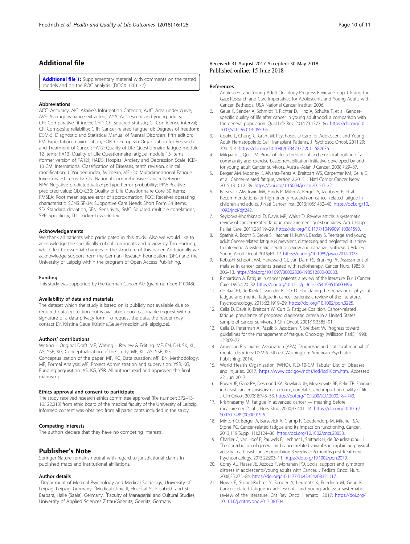# <span id="page-9-0"></span>Additional file

[Additional file 1:](https://doi.org/10.1186/s12955-018-0949-0) Supplementary material with comments on the tested models and on the ROC analysis. (DOCX 1761 kb)

#### Abbreviations

ACC: Accuracy; AIC: Akaike's Information Criterion; AUC: Area under curve; AVE: Average variance extracted;; AYA: Adolescent and young adults; CFI: Comparative fit index; Chi<sup>2</sup>: Chi squared statistic; CI: Confidence interval; CR: Composite reliability; CRF: Cancer-related fatigue; df: Degrees of freedom; DSM-5: Diagnostic and Statistical Manual of Mental Disorders, fifth edition; EM: Expectation maximization; EORTC: European Organization for Research and Treatment of Cancer; FA12: Quality of Life Questionnaire fatigue module 12 items; FA13: Quality of Life Questionnaire fatigue module 13 items (former version of FA12); HADS: Hospital Anxiety and Depression Scale; ICD-10 CM: International Classification of Diseases, tenth revision, clinical modification; J: Youden index; M: mean; MFI-20: Multidimensional Fatigue Inventory 20 items; NCCN: National Comprehensive Cancer Network; NPV: Negative predicted value; p: Type-I-error probability; PPV: Positive predicted value; QLQ-C30: Quality of Life Questionnaire Core 30 items; RMSEA: Root mean square error of approximation; ROC: Receiver operating characteristic; SCNS SF-34: Supportive Care Needs Short Form 34 items; SD: Standard deviation; SEN: Sensitivity; SMC: Squared multiple correlations; SPE: Specificity; TLI: Tucker-Lewis-Index

#### Acknowledgements

We thank all patients who participated in this study. Also we would like to acknowledge the specifically critical comments and review by Tim Hartung, which led to essential changes in the structure of this paper. Additionally we acknowledge support from the German Research Foundation (DFG) and the University of Leipzig within the program of Open Access Publishing.

#### Funding

This study was supported by the German Cancer Aid (grant number: 110948).

#### Availability of data and materials

The dataset which the study is based on is publicly not available due to required data protection but is available upon reasonable request with a signature of a data privacy form. To request the data, the reader may contact Dr. Kristina Geue (Kristina.Geue@medizin.uni-leipzig.de).

#### Authors' contributions

Writing – Original Draft: MF; Writing – Review & Editing: MF, EN, DH, SK, KL, AS, YSR, KG; Conceptualization of the study: MF, KL, AS, YSR, KG; Conceptualization of the paper: MF, KG; Data curation: MF, EN; Methodology: MF; Formal Analysis: MF; Project Administration and supervision: YSR, KG; Funding acquisition: AS, KG, YSR. All authors read and approved the final manuscript.

#### Ethics approval and consent to participate

The study received research ethics committee approval (file number: 372–13- 16,122,013) from ethic board of the medical faculty of the University of Leipzig. Informed consent was obtained from all participants included in the study.

#### Competing interests

The authors declare that they have no competing interests.

# Publisher's Note

Springer Nature remains neutral with regard to jurisdictional claims in published maps and institutional affiliations.

#### Author details

<sup>1</sup>Department of Medical Psychology and Medical Sociology, University of Leipzig, Leipzig, Germany. <sup>2</sup>Medical Clinic II, Hospital St. Elisabeth and St. Barbara, Halle (Saale), Germany. <sup>3</sup>Faculty of Managerial and Cultural Studies, University of Applied Sciences Zittau/Goerlitz, Goerlitz, Germany.

#### Received: 31 August 2017 Accepted: 30 May 2018 Published online: 15 June 2018

#### References

- 1. Adolescent and Young Adult Oncology Progress Review Group. Closing the Gap: Research and Care Imperatives for Adolescents and Young Adults with Cancer. Bethesda: USA National Cancer Institut; 2006.
- 2. Geue K, Sender A, Schmidt R, Richter D, Hinz A, Schulte T, et al. Genderspecific quality of life after cancer in young adulthood: a comparison with the general population. Qual Life Res. 2014;23:1377–86. [https://doi.org/10.](https://doi.org/10.1007/s11136-013-0559-6) [1007/s11136-013-0559-6](https://doi.org/10.1007/s11136-013-0559-6).
- 3. Cooke L, Chung C, Grant M. Psychosocial Care for Adolescent and Young Adult Hematopoietic Cell Transplant Patients. J Psychosoc Oncol. 2011;29: 394–414. <https://doi.org/10.1080/07347332.2011.582636>.
- 4. Mitgaard J, Quist M. Proof of life: a theoretical and empirical outline of a community and exercise-based rehabilitation initiative developed by and for young adult Cancer survivors. Austral-Asian J Cancer. 2008;7:29–37.
- Berger AM, Mooney K, Alvarez-Perez A, Breitbart WS, Carpenter KM, Cella D, et al. Cancer-related fatigue, version 2.2015. J Natl Compr Cancer Netw. 2015;13:1012–39. <https://doi.org/10.6004/jnccn.2015.0122>.
- Barsevick AM, Irwin MR, Hinds P, Miller A, Berger A, Jacobsen P, et al. Recommendations for high-priority research on cancer-related fatigue in children and adults. J Natl Cancer Inst. 2013;105:1432–40. [https://doi.org/10.](https://doi.org/10.1093/jnci/djt242) [1093/jnci/djt242.](https://doi.org/10.1093/jnci/djt242)
- 7. Seyidova-Khoshknabi D, Davis MP, Walsh D. Review article: a systematic review of cancer-related fatigue measurement questionnaires. Am J Hosp Palliat Care. 2011;28:119–29. <https://doi.org/10.1177/1049909110381590>.
- Spathis A, Booth S, Grove S, Hatcher H, Kuhn I, Barclay S. Teenage and young adult Cancer-related fatigue is prevalent, distressing, and neglected: it is time to intervene. A systematic literature review and narrative synthesis. J Adolesc Young Adult Oncol. 2015;4:3–17. [https://doi.org/10.1089/jayao.2014.0023.](https://doi.org/10.1089/jayao.2014.0023)
- 9. Kobashi-Schoot JAM, Hanewald GJ, van Dam FS, Bruning PF. Assessment of malaise in cancer patients treated with radiotherapy. Cancer Nurs. 1985;8: 306–13. <https://doi.org/10.1097/00002820-198512000-00003>.
- 10. Richardson A. Fatigue in cancer patients: a review of the literature. Eur J Cancer Care. 1995;4:20–32. [https://doi.org/10.1111/j.1365-2354.1995.tb00049.x.](https://doi.org/10.1111/j.1365-2354.1995.tb00049.x)
- 11. de Raaf PJ, de Klerk C, van der Rijt CCD. Elucidating the behavior of physical fatigue and mental fatigue in cancer patients: a review of the literature. Psychooncology. 2013;22:1919–29. <https://doi.org/10.1002/pon.3225>.
- 12. Cella D, Davis K, Breitbart W, Curt G. Fatigue Coalition. Cancer-related fatigue: prevalence of proposed diagnostic criteria in a United States sample of cancer survivors. J Clin Oncol. 2001;19:3385–91.
- 13. Cella D, Peterman A, Passik S, Jacobsen P, Breitbart W. Progress toward guidelines for the management of fatigue. Oncology (Williston Park). 1998; 12:369–77.
- 14. American Psychiatric Association (APA). Diagnostic and statistical manual of mental disorders: DSM-5. 5th ed. Washington: American Psychiatric Publishing; 2014.
- 15. World Health Organization (WHO). ICD-10-CM Tabular List of Diseases and Injuries. 2017. [https://www.cdc.gov/nchs/icd/icd10cm.htm.](https://www.cdc.gov/nchs/icd/icd10cm.htm) Accessed 22 Jun 2017.
- 16. Bower JE, Ganz PA, Desmond KA, Rowland JH, Meyerowitz BE, Belin TR. Fatigue in breast cancer survivors: occurrence, correlates, and impact on quality of life. J Clin Oncol. 2000;18:743–53. [https://doi.org/10.1200/JCO.2000.18.4.743.](https://doi.org/10.1200/JCO.2000.18.4.743)
- 17. Krishnasamy M. Fatigue in advanced cancer meaning before measurement? Int J Nurs Stud. 2000;37:401–14. [https://doi.org/10.1016/](https://doi.org/10.1016/S0020-7489(00)00019-5) [S0020-7489\(00\)00019-5](https://doi.org/10.1016/S0020-7489(00)00019-5).
- 18. Minton O, Berger A, Barsevick A, Cramp F, Goedendorp M, Mitchell SA, Stone PC. Cancer-related fatigue and its impact on functioning. Cancer. 2013;119(Suppl 11):2124–30. [https://doi.org/10.1002/cncr.28058.](https://doi.org/10.1002/cncr.28058)
- 19. Charlier C, van Hoof E, Pauwels E, Lechner L, Spittaels H, de Bourdeaudhuij I. The contribution of general and cancer-related variables in explaining physical activity in a breast cancer population 3 weeks to 6 months post-treatment. Psychooncology. 2013;22:203–11. [https://doi.org/10.1002/pon.2079.](https://doi.org/10.1002/pon.2079)
- 20. Corey AL, Haase JE, Azzouz F, Monahan PO. Social support and symptom distress in adolescents/young adults with Cancer. J Pediatr Oncol Nurs. 2008;25:275–84. <https://doi.org/10.1177/1043454208321117>.
- 21. Nowe E, Stöbel-Richter Y, Sender A, Leuteritz K, Friedrich M, Geue K. Cancer-related fatigue in adolescents and young adults: a systematic review of the literature. Crit Rev Oncol Hematol. 2017; [https://doi.org/](https://doi.org/10.1016/j.critrevonc.2017.08.004) [10.1016/j.critrevonc.2017.08.004.](https://doi.org/10.1016/j.critrevonc.2017.08.004)